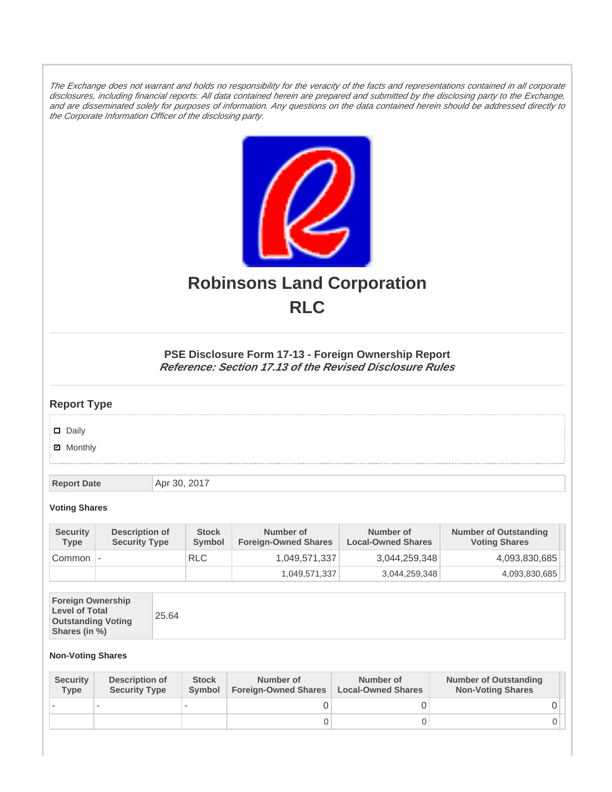The Exchange does not warrant and holds no responsibility for the veracity of the facts and representations contained in all corporate disclosures, including financial reports. All data contained herein are prepared and submitted by the disclosing party to the Exchange, and are disseminated solely for purposes of information. Any questions on the data contained herein should be addressed directly to the Corporate Information Officer of the disclosing party.



# **Robinsons Land Corporation RLC**

## **PSE Disclosure Form 17-13 - Foreign Ownership Report Reference: Section 17.13 of the Revised Disclosure Rules**

## **Report Type**

Daily

**Ø** Monthly

**Report Date Apr 30, 2017** 

#### **Voting Shares**

| <b>Security</b><br><b>Type</b> | Description of<br><b>Security Type</b> | <b>Stock</b><br>Symbol | Number of<br><b>Foreign-Owned Shares</b> | Number of<br><b>Local-Owned Shares</b> | <b>Number of Outstanding</b><br><b>Voting Shares</b> |
|--------------------------------|----------------------------------------|------------------------|------------------------------------------|----------------------------------------|------------------------------------------------------|
| Common                         | $\overline{\phantom{a}}$               | <b>RLC</b>             | 1,049,571,337                            | 3,044,259,348                          | 4,093,830,685                                        |
|                                |                                        |                        | 1,049,571,337                            | 3,044,259,348                          | 4,093,830,685                                        |

|--|

### **Non-Voting Shares**

| <b>Security</b><br><b>Type</b> | Description of<br><b>Security Type</b> | <b>Stock</b><br><b>Symbol</b> | Number of<br><b>Foreign-Owned Shares</b> | Number of<br><b>Local-Owned Shares</b> | <b>Number of Outstanding</b><br><b>Non-Voting Shares</b> |
|--------------------------------|----------------------------------------|-------------------------------|------------------------------------------|----------------------------------------|----------------------------------------------------------|
|                                |                                        |                               |                                          |                                        |                                                          |
|                                |                                        |                               | O                                        |                                        |                                                          |